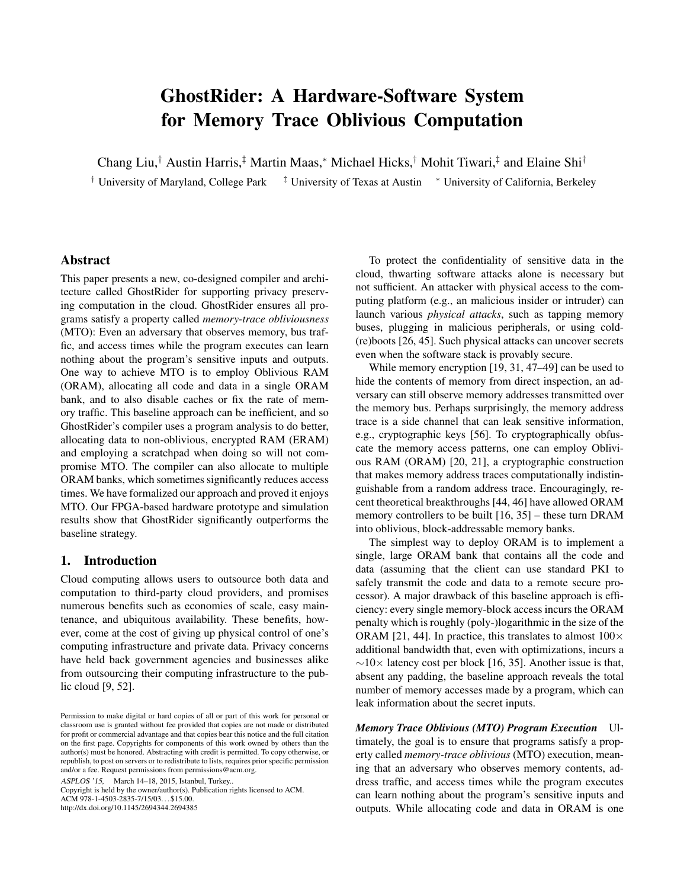# GhostRider: A Hardware-Software System for Memory Trace Oblivious Computation

Chang Liu,<sup>†</sup> Austin Harris,<sup>‡</sup> Martin Maas,\* Michael Hicks,<sup>†</sup> Mohit Tiwari,<sup>‡</sup> and Elaine Shi<sup>†</sup>

† University of Maryland, College Park ‡ University of Texas at Austin <sup>∗</sup> University of California, Berkeley

# Abstract

This paper presents a new, co-designed compiler and architecture called GhostRider for supporting privacy preserving computation in the cloud. GhostRider ensures all programs satisfy a property called *memory-trace obliviousness* (MTO): Even an adversary that observes memory, bus traffic, and access times while the program executes can learn nothing about the program's sensitive inputs and outputs. One way to achieve MTO is to employ Oblivious RAM (ORAM), allocating all code and data in a single ORAM bank, and to also disable caches or fix the rate of memory traffic. This baseline approach can be inefficient, and so GhostRider's compiler uses a program analysis to do better, allocating data to non-oblivious, encrypted RAM (ERAM) and employing a scratchpad when doing so will not compromise MTO. The compiler can also allocate to multiple ORAM banks, which sometimes significantly reduces access times. We have formalized our approach and proved it enjoys MTO. Our FPGA-based hardware prototype and simulation results show that GhostRider significantly outperforms the baseline strategy.

# 1. Introduction

Cloud computing allows users to outsource both data and computation to third-party cloud providers, and promises numerous benefits such as economies of scale, easy maintenance, and ubiquitous availability. These benefits, however, come at the cost of giving up physical control of one's computing infrastructure and private data. Privacy concerns have held back government agencies and businesses alike from outsourcing their computing infrastructure to the public cloud [9, 52].

ASPLOS '15, March 14–18, 2015, Istanbul, Turkey..

Copyright is held by the owner/author(s). Publication rights licensed to ACM. ACM 978-1-4503-2835-7/15/03. . . \$15.00. http://dx.doi.org/10.1145/2694344.2694385

To protect the confidentiality of sensitive data in the cloud, thwarting software attacks alone is necessary but not sufficient. An attacker with physical access to the computing platform (e.g., an malicious insider or intruder) can launch various *physical attacks*, such as tapping memory buses, plugging in malicious peripherals, or using cold- (re)boots [26, 45]. Such physical attacks can uncover secrets even when the software stack is provably secure.

While memory encryption [19, 31, 47–49] can be used to hide the contents of memory from direct inspection, an adversary can still observe memory addresses transmitted over the memory bus. Perhaps surprisingly, the memory address trace is a side channel that can leak sensitive information, e.g., cryptographic keys [56]. To cryptographically obfuscate the memory access patterns, one can employ Oblivious RAM (ORAM) [20, 21], a cryptographic construction that makes memory address traces computationally indistinguishable from a random address trace. Encouragingly, recent theoretical breakthroughs [44, 46] have allowed ORAM memory controllers to be built [16, 35] – these turn DRAM into oblivious, block-addressable memory banks.

The simplest way to deploy ORAM is to implement a single, large ORAM bank that contains all the code and data (assuming that the client can use standard PKI to safely transmit the code and data to a remote secure processor). A major drawback of this baseline approach is efficiency: every single memory-block access incurs the ORAM penalty which is roughly (poly-)logarithmic in the size of the ORAM [21, 44]. In practice, this translates to almost  $100 \times$ additional bandwidth that, even with optimizations, incurs a  $\sim$ 10× latency cost per block [16, 35]. Another issue is that, absent any padding, the baseline approach reveals the total number of memory accesses made by a program, which can leak information about the secret inputs.

*Memory Trace Oblivious (MTO) Program Execution* Ultimately, the goal is to ensure that programs satisfy a property called *memory-trace oblivious* (MTO) execution, meaning that an adversary who observes memory contents, address traffic, and access times while the program executes can learn nothing about the program's sensitive inputs and outputs. While allocating code and data in ORAM is one

Permission to make digital or hard copies of all or part of this work for personal or classroom use is granted without fee provided that copies are not made or distributed for profit or commercial advantage and that copies bear this notice and the full citation on the first page. Copyrights for components of this work owned by others than the author(s) must be honored. Abstracting with credit is permitted. To copy otherwise, or republish, to post on servers or to redistribute to lists, requires prior specific permission and/or a fee. Request permissions from permissions@acm.org.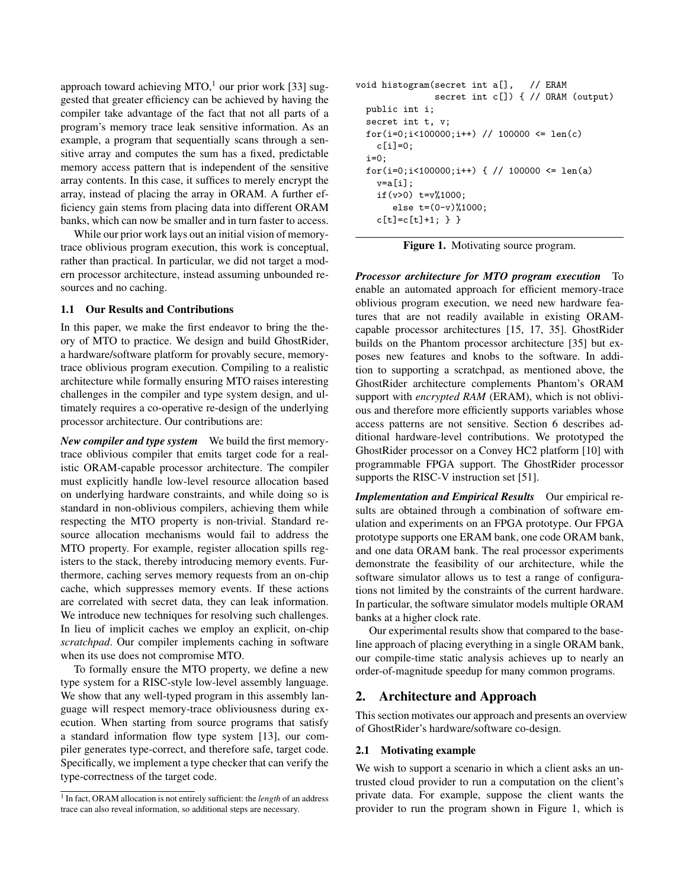approach toward achieving MTO,<sup>1</sup> our prior work [33] suggested that greater efficiency can be achieved by having the compiler take advantage of the fact that not all parts of a program's memory trace leak sensitive information. As an example, a program that sequentially scans through a sensitive array and computes the sum has a fixed, predictable memory access pattern that is independent of the sensitive array contents. In this case, it suffices to merely encrypt the array, instead of placing the array in ORAM. A further efficiency gain stems from placing data into different ORAM banks, which can now be smaller and in turn faster to access.

While our prior work lays out an initial vision of memorytrace oblivious program execution, this work is conceptual, rather than practical. In particular, we did not target a modern processor architecture, instead assuming unbounded resources and no caching.

### 1.1 Our Results and Contributions

In this paper, we make the first endeavor to bring the theory of MTO to practice. We design and build GhostRider, a hardware/software platform for provably secure, memorytrace oblivious program execution. Compiling to a realistic architecture while formally ensuring MTO raises interesting challenges in the compiler and type system design, and ultimately requires a co-operative re-design of the underlying processor architecture. Our contributions are:

*New compiler and type system* We build the first memorytrace oblivious compiler that emits target code for a realistic ORAM-capable processor architecture. The compiler must explicitly handle low-level resource allocation based on underlying hardware constraints, and while doing so is standard in non-oblivious compilers, achieving them while respecting the MTO property is non-trivial. Standard resource allocation mechanisms would fail to address the MTO property. For example, register allocation spills registers to the stack, thereby introducing memory events. Furthermore, caching serves memory requests from an on-chip cache, which suppresses memory events. If these actions are correlated with secret data, they can leak information. We introduce new techniques for resolving such challenges. In lieu of implicit caches we employ an explicit, on-chip *scratchpad*. Our compiler implements caching in software when its use does not compromise MTO.

To formally ensure the MTO property, we define a new type system for a RISC-style low-level assembly language. We show that any well-typed program in this assembly language will respect memory-trace obliviousness during execution. When starting from source programs that satisfy a standard information flow type system [13], our compiler generates type-correct, and therefore safe, target code. Specifically, we implement a type checker that can verify the type-correctness of the target code.

```
void histogram(secret int a[], // ERAM
               secret int c[]) { // ORAM (output)
 public int i;
 secret int t, v;
 for(i=0;i<100000;i++) // 100000 <= len(c)
    c[i]=0;i=0:
  for(i=0;i<100000;i++) { // 100000 <= len(a)
    v=a[i];
    if(v>0) t=v%1000;
       else t=(0-v)\%1000;
    c[t]=c[t]+1; } }
```
Figure 1. Motivating source program.

*Processor architecture for MTO program execution* To enable an automated approach for efficient memory-trace oblivious program execution, we need new hardware features that are not readily available in existing ORAMcapable processor architectures [15, 17, 35]. GhostRider builds on the Phantom processor architecture [35] but exposes new features and knobs to the software. In addition to supporting a scratchpad, as mentioned above, the GhostRider architecture complements Phantom's ORAM support with *encrypted RAM* (ERAM), which is not oblivious and therefore more efficiently supports variables whose access patterns are not sensitive. Section 6 describes additional hardware-level contributions. We prototyped the GhostRider processor on a Convey HC2 platform [10] with programmable FPGA support. The GhostRider processor supports the RISC-V instruction set [51].

*Implementation and Empirical Results* Our empirical results are obtained through a combination of software emulation and experiments on an FPGA prototype. Our FPGA prototype supports one ERAM bank, one code ORAM bank, and one data ORAM bank. The real processor experiments demonstrate the feasibility of our architecture, while the software simulator allows us to test a range of configurations not limited by the constraints of the current hardware. In particular, the software simulator models multiple ORAM banks at a higher clock rate.

Our experimental results show that compared to the baseline approach of placing everything in a single ORAM bank, our compile-time static analysis achieves up to nearly an order-of-magnitude speedup for many common programs.

# 2. Architecture and Approach

This section motivates our approach and presents an overview of GhostRider's hardware/software co-design.

### 2.1 Motivating example

We wish to support a scenario in which a client asks an untrusted cloud provider to run a computation on the client's private data. For example, suppose the client wants the provider to run the program shown in Figure 1, which is

<sup>&</sup>lt;sup>1</sup> In fact, ORAM allocation is not entirely sufficient: the *length* of an address trace can also reveal information, so additional steps are necessary.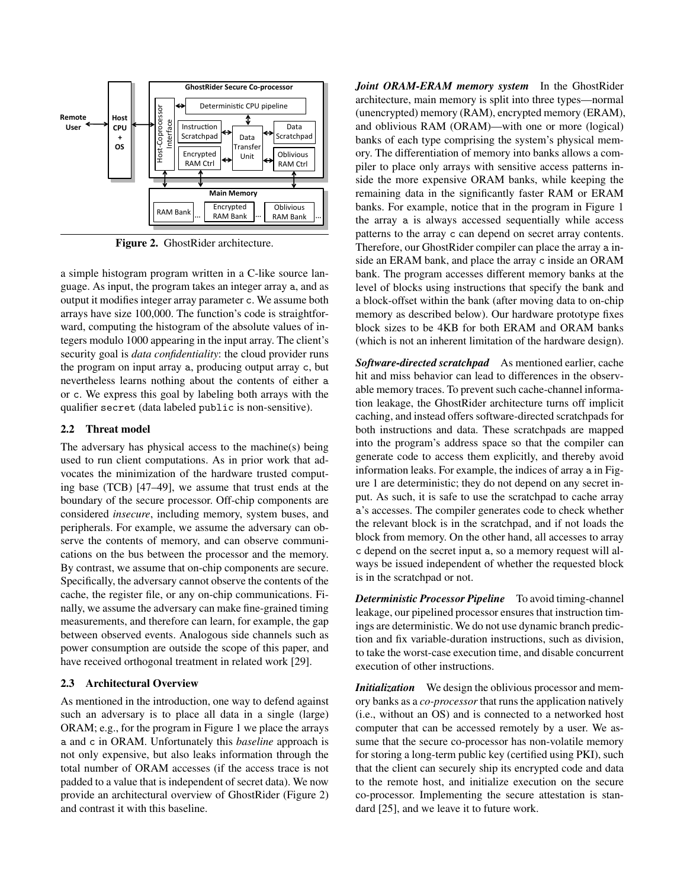

Figure 2. GhostRider architecture.

a simple histogram program written in a C-like source language. As input, the program takes an integer array a, and as output it modifies integer array parameter c. We assume both arrays have size 100,000. The function's code is straightforward, computing the histogram of the absolute values of integers modulo 1000 appearing in the input array. The client's security goal is *data confidentiality*: the cloud provider runs the program on input array a, producing output array c, but nevertheless learns nothing about the contents of either a or c. We express this goal by labeling both arrays with the qualifier secret (data labeled public is non-sensitive).

#### 2.2 Threat model

The adversary has physical access to the machine(s) being used to run client computations. As in prior work that advocates the minimization of the hardware trusted computing base (TCB) [47–49], we assume that trust ends at the boundary of the secure processor. Off-chip components are considered *insecure*, including memory, system buses, and peripherals. For example, we assume the adversary can observe the contents of memory, and can observe communications on the bus between the processor and the memory. By contrast, we assume that on-chip components are secure. Specifically, the adversary cannot observe the contents of the cache, the register file, or any on-chip communications. Finally, we assume the adversary can make fine-grained timing measurements, and therefore can learn, for example, the gap between observed events. Analogous side channels such as power consumption are outside the scope of this paper, and have received orthogonal treatment in related work [29].

## 2.3 Architectural Overview

As mentioned in the introduction, one way to defend against such an adversary is to place all data in a single (large) ORAM; e.g., for the program in Figure 1 we place the arrays a and c in ORAM. Unfortunately this *baseline* approach is not only expensive, but also leaks information through the total number of ORAM accesses (if the access trace is not padded to a value that is independent of secret data). We now provide an architectural overview of GhostRider (Figure 2) and contrast it with this baseline.

*Joint ORAM-ERAM memory system* In the GhostRider architecture, main memory is split into three types—normal (unencrypted) memory (RAM), encrypted memory (ERAM), and oblivious RAM (ORAM)—with one or more (logical) banks of each type comprising the system's physical memory. The differentiation of memory into banks allows a compiler to place only arrays with sensitive access patterns inside the more expensive ORAM banks, while keeping the remaining data in the significantly faster RAM or ERAM banks. For example, notice that in the program in Figure 1 the array a is always accessed sequentially while access patterns to the array c can depend on secret array contents. Therefore, our GhostRider compiler can place the array a inside an ERAM bank, and place the array c inside an ORAM bank. The program accesses different memory banks at the level of blocks using instructions that specify the bank and a block-offset within the bank (after moving data to on-chip memory as described below). Our hardware prototype fixes block sizes to be 4KB for both ERAM and ORAM banks (which is not an inherent limitation of the hardware design).

*Software-directed scratchpad* As mentioned earlier, cache hit and miss behavior can lead to differences in the observable memory traces. To prevent such cache-channel information leakage, the GhostRider architecture turns off implicit caching, and instead offers software-directed scratchpads for both instructions and data. These scratchpads are mapped into the program's address space so that the compiler can generate code to access them explicitly, and thereby avoid information leaks. For example, the indices of array a in Figure 1 are deterministic; they do not depend on any secret input. As such, it is safe to use the scratchpad to cache array a's accesses. The compiler generates code to check whether the relevant block is in the scratchpad, and if not loads the block from memory. On the other hand, all accesses to array c depend on the secret input a, so a memory request will always be issued independent of whether the requested block is in the scratchpad or not.

*Deterministic Processor Pipeline* To avoid timing-channel leakage, our pipelined processor ensures that instruction timings are deterministic. We do not use dynamic branch prediction and fix variable-duration instructions, such as division, to take the worst-case execution time, and disable concurrent execution of other instructions.

*Initialization* We design the oblivious processor and memory banks as a *co-processor* that runs the application natively (i.e., without an OS) and is connected to a networked host computer that can be accessed remotely by a user. We assume that the secure co-processor has non-volatile memory for storing a long-term public key (certified using PKI), such that the client can securely ship its encrypted code and data to the remote host, and initialize execution on the secure co-processor. Implementing the secure attestation is standard [25], and we leave it to future work.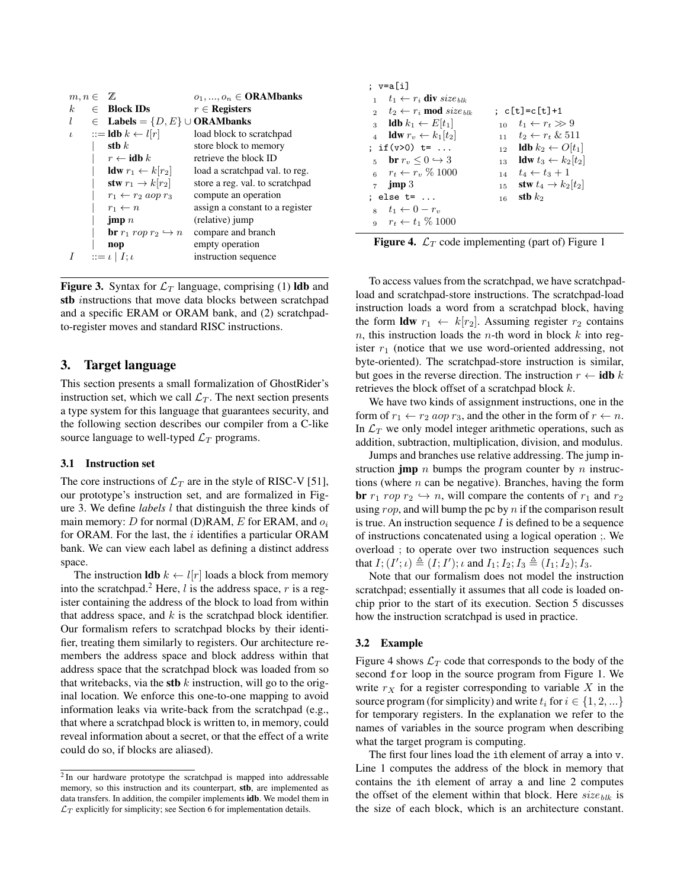| $m, n \in \mathbb{Z}$ |                                             | $o_1, , o_n \in \textbf{ORAMbanks}$ |
|-----------------------|---------------------------------------------|-------------------------------------|
| k <sub>i</sub>        | $\in$ Block IDs                             | $r \in$ Registers                   |
| l                     | $\in$ Labels = {D, E} $\cup$ ORAMbanks      |                                     |
| $\iota$               | $ ::=$ ldb $k \leftarrow l[r]$              | load block to scratchpad            |
|                       | stb $k$                                     | store block to memory               |
|                       | $r \leftarrow \textbf{idb} k$               | retrieve the block ID               |
|                       | <b>ldw</b> $r_1 \leftarrow k r_2 $          | load a scratchpad val. to reg.      |
|                       | stw $r_1 \rightarrow k[r_2]$                | store a reg. val. to scratchpad     |
|                       | $r_1 \leftarrow r_2 \text{ aop } r_3$       | compute an operation                |
|                       | $r_1 \leftarrow n$                          | assign a constant to a register     |
|                       | $\mathbf{imp}\;n$                           | (relative) jump                     |
|                       | <b>br</b> $r_1$ rop $r_2 \hookrightarrow n$ | compare and branch                  |
|                       | nop                                         | empty operation                     |
|                       | $::=\iota \mid I;\iota$                     | instruction sequence                |

**Figure 3.** Syntax for  $\mathcal{L}_T$  language, comprising (1) **ldb** and stb instructions that move data blocks between scratchpad and a specific ERAM or ORAM bank, and (2) scratchpadto-register moves and standard RISC instructions.

# 3. Target language

This section presents a small formalization of GhostRider's instruction set, which we call  $\mathcal{L}_T$ . The next section presents a type system for this language that guarantees security, and the following section describes our compiler from a C-like source language to well-typed  $\mathcal{L}_T$  programs.

#### 3.1 Instruction set

The core instructions of  $\mathcal{L}_T$  are in the style of RISC-V [51], our prototype's instruction set, and are formalized in Figure 3. We define *labels* l that distinguish the three kinds of main memory: D for normal (D)RAM, E for ERAM, and  $o_i$ for ORAM. For the last, the  $i$  identifies a particular ORAM bank. We can view each label as defining a distinct address space.

The instruction **ldb**  $k \leftarrow l[r]$  loads a block from memory into the scratchpad.<sup>2</sup> Here, l is the address space, r is a register containing the address of the block to load from within that address space, and  $k$  is the scratchpad block identifier. Our formalism refers to scratchpad blocks by their identifier, treating them similarly to registers. Our architecture remembers the address space and block address within that address space that the scratchpad block was loaded from so that writebacks, via the stb  $k$  instruction, will go to the original location. We enforce this one-to-one mapping to avoid information leaks via write-back from the scratchpad (e.g., that where a scratchpad block is written to, in memory, could reveal information about a secret, or that the effect of a write could do so, if blocks are aliased).

| ; v=a[i]                                     |                                               |  |  |  |  |
|----------------------------------------------|-----------------------------------------------|--|--|--|--|
| $t_1 \leftarrow r_i$ div size <sub>blk</sub> |                                               |  |  |  |  |
| 2 $t_2 \leftarrow r_i \mod size_{blk}$       | ; c[t]=c[t]+1                                 |  |  |  |  |
| 3 <b>ldb</b> $k_1 \leftarrow E[t_1]$         | $t_1 \leftarrow r_t \gg 9$<br>10              |  |  |  |  |
| 4 <b>ldw</b> $r_v \leftarrow k_1  t_2 $      | $t_1$ $t_2 \leftarrow r_t \& 511$             |  |  |  |  |
| : if(y>0) t=                                 | 12 <b>ldb</b> $k_2 \leftarrow O[t_1]$         |  |  |  |  |
| 5 br $r_v \leq 0 \hookrightarrow 3$          | $\mathbf{Idw}\,t_3 \leftarrow k_2[t_2]$<br>13 |  |  |  |  |
| $r_t \leftarrow r_v \% 1000$                 | $t_4 \leftarrow t_3 + 1$<br>14                |  |  |  |  |
| $7 \quad \text{imp } 3$                      | stw $t_4 \rightarrow k_2[t_2]$<br>$15 -$      |  |  |  |  |
| : else t=                                    | stb $k_2$<br>16                               |  |  |  |  |
| $t_1 \leftarrow 0-r_v$                       |                                               |  |  |  |  |
| $r_t \leftarrow t_1 \% 1000$                 |                                               |  |  |  |  |

Figure 4.  $\mathcal{L}_T$  code implementing (part of) Figure 1

To access values from the scratchpad, we have scratchpadload and scratchpad-store instructions. The scratchpad-load instruction loads a word from a scratchpad block, having the form **ldw**  $r_1 \leftarrow k[r_2]$ . Assuming register  $r_2$  contains  $n$ , this instruction loads the *n*-th word in block  $k$  into register  $r_1$  (notice that we use word-oriented addressing, not byte-oriented). The scratchpad-store instruction is similar, but goes in the reverse direction. The instruction  $r \leftarrow$  idb k retrieves the block offset of a scratchpad block k.

We have two kinds of assignment instructions, one in the form of  $r_1 \leftarrow r_2$  *aop*  $r_3$ , and the other in the form of  $r \leftarrow n$ . In  $\mathcal{L}_T$  we only model integer arithmetic operations, such as addition, subtraction, multiplication, division, and modulus.

Jumps and branches use relative addressing. The jump instruction **jmp** *n* bumps the program counter by *n* instructions (where  $n$  can be negative). Branches, having the form **br**  $r_1$  rop  $r_2 \leftrightarrow n$ , will compare the contents of  $r_1$  and  $r_2$ using  $rop$ , and will bump the pc by n if the comparison result is true. An instruction sequence  $I$  is defined to be a sequence of instructions concatenated using a logical operation ;. We overload ; to operate over two instruction sequences such that  $I; (I';\iota) \triangleq (I;I'); \iota$  and  $I_1; I_2; I_3 \triangleq (I_1; I_2); I_3$ .

Note that our formalism does not model the instruction scratchpad; essentially it assumes that all code is loaded onchip prior to the start of its execution. Section 5 discusses how the instruction scratchpad is used in practice.

## 3.2 Example

Figure 4 shows  $\mathcal{L}_T$  code that corresponds to the body of the second for loop in the source program from Figure 1. We write  $r_X$  for a register corresponding to variable X in the source program (for simplicity) and write  $t_i$  for  $i \in \{1, 2, ...\}$ for temporary registers. In the explanation we refer to the names of variables in the source program when describing what the target program is computing.

The first four lines load the ith element of array a into v. Line 1 computes the address of the block in memory that contains the ith element of array a and line 2 computes the offset of the element within that block. Here  $size_{blk}$  is the size of each block, which is an architecture constant.

 $2$ In our hardware prototype the scratchpad is mapped into addressable memory, so this instruction and its counterpart, stb, are implemented as data transfers. In addition, the compiler implements idb. We model them in  $\mathcal{L}_T$  explicitly for simplicity; see Section 6 for implementation details.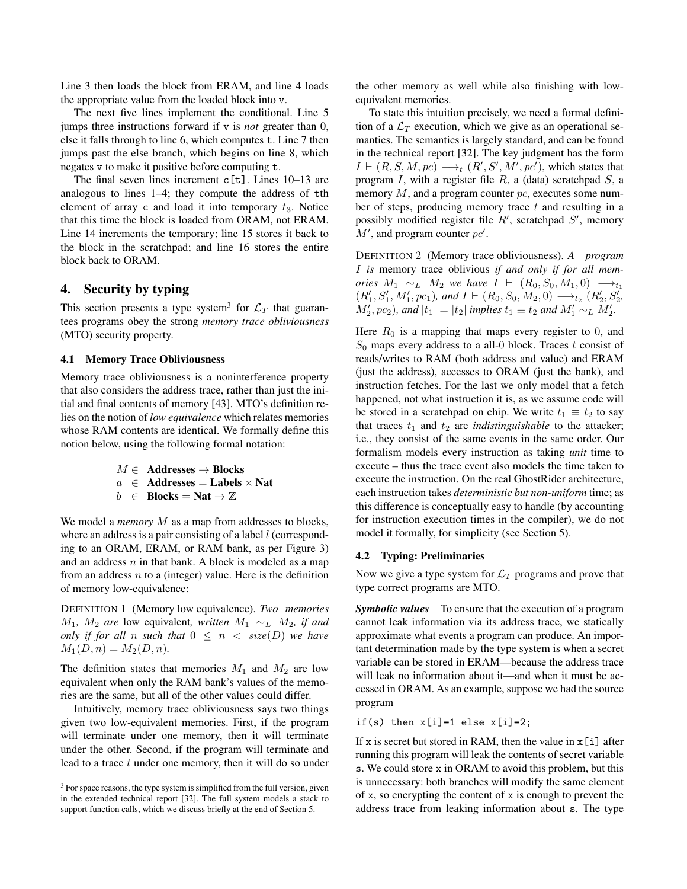Line 3 then loads the block from ERAM, and line 4 loads the appropriate value from the loaded block into v.

The next five lines implement the conditional. Line 5 jumps three instructions forward if v is *not* greater than 0, else it falls through to line 6, which computes t. Line 7 then jumps past the else branch, which begins on line 8, which negates v to make it positive before computing t.

The final seven lines increment c[t]. Lines 10–13 are analogous to lines 1–4; they compute the address of tth element of array c and load it into temporary  $t_3$ . Notice that this time the block is loaded from ORAM, not ERAM. Line 14 increments the temporary; line 15 stores it back to the block in the scratchpad; and line 16 stores the entire block back to ORAM.

# 4. Security by typing

This section presents a type system<sup>3</sup> for  $\mathcal{L}_T$  that guarantees programs obey the strong *memory trace obliviousness* (MTO) security property.

## 4.1 Memory Trace Obliviousness

Memory trace obliviousness is a noninterference property that also considers the address trace, rather than just the initial and final contents of memory [43]. MTO's definition relies on the notion of *low equivalence* which relates memories whose RAM contents are identical. We formally define this notion below, using the following formal notation:

$$
M \in \text{Address} \rightarrow \text{Blocks} a \in \text{Address} = \text{Tables} \times \text{Nat} b \in \text{Blocks} = \text{Nat} \rightarrow \mathbb{Z}
$$

We model a *memory* M as a map from addresses to blocks, where an address is a pair consisting of a label  $l$  (corresponding to an ORAM, ERAM, or RAM bank, as per Figure 3) and an address  $n$  in that bank. A block is modeled as a map from an address  $n$  to a (integer) value. Here is the definition of memory low-equivalence:

DEFINITION 1 (Memory low equivalence). *Two memories*  $M_1$ *, M*<sub>2</sub> *are* low equivalent*, written*  $M_1 ∼_L M_2$ *, if and only if for all* n *such that*  $0 \leq n \leq size(D)$  *we have*  $M_1(D, n) = M_2(D, n)$ .

The definition states that memories  $M_1$  and  $M_2$  are low equivalent when only the RAM bank's values of the memories are the same, but all of the other values could differ.

Intuitively, memory trace obliviousness says two things given two low-equivalent memories. First, if the program will terminate under one memory, then it will terminate under the other. Second, if the program will terminate and lead to a trace  $t$  under one memory, then it will do so under the other memory as well while also finishing with lowequivalent memories.

To state this intuition precisely, we need a formal definition of a  $\mathcal{L}_T$  execution, which we give as an operational semantics. The semantics is largely standard, and can be found in the technical report [32]. The key judgment has the form  $I \vdash (R, S, M, pc) \longrightarrow_t (R', S', M', pc')$ , which states that program  $I$ , with a register file  $R$ , a (data) scratchpad  $S$ , a memory  $M$ , and a program counter  $pc$ , executes some number of steps, producing memory trace  $t$  and resulting in a possibly modified register file  $R'$ , scratchpad  $S'$ , memory  $M'$ , and program counter  $pc'$ .

DEFINITION 2 (Memory trace obliviousness). *A program* I *is* memory trace oblivious *if and only if for all memories*  $M_1 \sim_L M_2$  *we have*  $I \vdash (R_0, S_0, M_1, 0) \longrightarrow_{t_1}$  $(R'_1, S'_1, M'_1, pc_1)$ , and  $I \vdash (R_0, S_0, M_2, 0) \longrightarrow_{t_2} (R'_2, S'_2,$  $M'_2, pc_2$ ), and  $|t_1| = |t_2|$  *implies*  $t_1 \equiv t_2$  and  $M'_1 \sim_L M'_2$ .

Here  $R_0$  is a mapping that maps every register to 0, and  $S_0$  maps every address to a all-0 block. Traces  $t$  consist of reads/writes to RAM (both address and value) and ERAM (just the address), accesses to ORAM (just the bank), and instruction fetches. For the last we only model that a fetch happened, not what instruction it is, as we assume code will be stored in a scratchpad on chip. We write  $t_1 \equiv t_2$  to say that traces  $t_1$  and  $t_2$  are *indistinguishable* to the attacker; i.e., they consist of the same events in the same order. Our formalism models every instruction as taking *unit* time to execute – thus the trace event also models the time taken to execute the instruction. On the real GhostRider architecture, each instruction takes *deterministic but non-uniform* time; as this difference is conceptually easy to handle (by accounting for instruction execution times in the compiler), we do not model it formally, for simplicity (see Section 5).

#### 4.2 Typing: Preliminaries

Now we give a type system for  $\mathcal{L}_T$  programs and prove that type correct programs are MTO.

**Symbolic values** To ensure that the execution of a program cannot leak information via its address trace, we statically approximate what events a program can produce. An important determination made by the type system is when a secret variable can be stored in ERAM—because the address trace will leak no information about it—and when it must be accessed in ORAM. As an example, suppose we had the source program

if(s) then  $x[i]=1$  else  $x[i]=2$ ;

If x is secret but stored in RAM, then the value in  $x[i]$  after running this program will leak the contents of secret variable s. We could store x in ORAM to avoid this problem, but this is unnecessary: both branches will modify the same element of x, so encrypting the content of x is enough to prevent the address trace from leaking information about s. The type

<sup>&</sup>lt;sup>3</sup> For space reasons, the type system is simplified from the full version, given in the extended technical report [32]. The full system models a stack to support function calls, which we discuss briefly at the end of Section 5.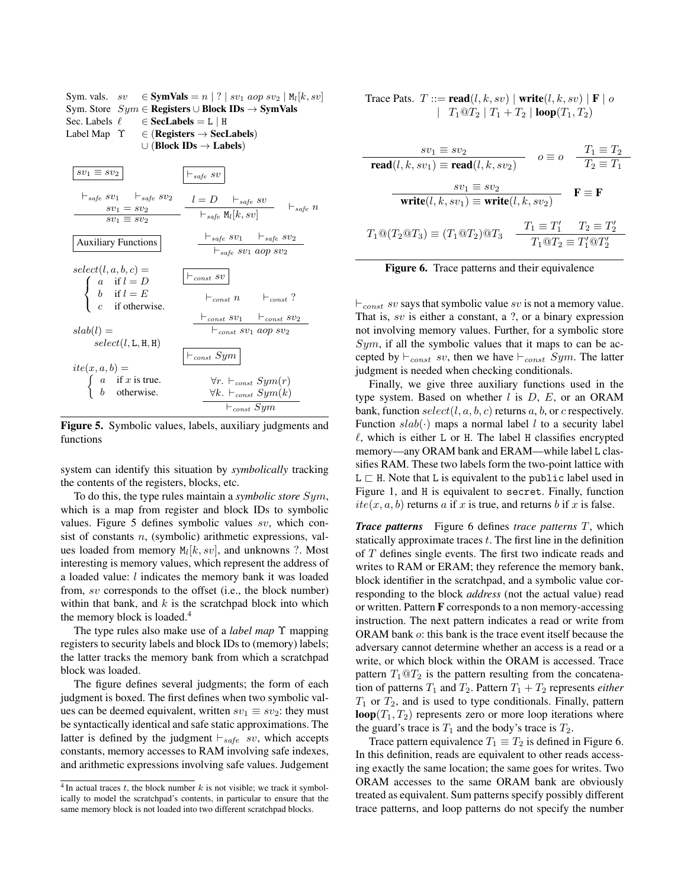Sym. vals.  $sv \in \text{SymVals} = n \mid ? \mid sv_1 \text{ aop } sv_2 \mid M_l[k, sv]$ Sym. Store  $Sym \in \text{Registers} \cup \text{Block IDs} \rightarrow \text{SymVals}$ Sec. Labels  $\ell \in \textbf{SecLabels} = L | H$ Label Map  $\Upsilon \in (Registers \rightarrow SecLabels)$  $\cup$  (Block IDs  $\rightarrow$  Labels)

| $sv_1 \equiv sv_2$                                                                                                               | $\vdash_{\textit{safe}} sv$                                                                                             |
|----------------------------------------------------------------------------------------------------------------------------------|-------------------------------------------------------------------------------------------------------------------------|
| $\vdash_{\text{safe}} sv_1$ $\vdash_{\text{safe}} sv_2$<br>$sv_1 = sv_2$<br>$sv_1 \equiv sv_2$                                   | $\frac{l = D \quad \vdash_{\textit{safe}} sv}{\vdash_{\textit{safe}} \mathbb{M}_l[k,sv]}$<br>$\vdash_{\textit{safe}} n$ |
| <b>Auxiliary Functions</b>                                                                                                       | $\vdash_{\text{safe}} sv_1$ $\vdash_{\text{safe}} sv_2$<br>$\vdash_{\textit{safe}} sv_1 \textit{aop} sv_2$              |
| $select(l, a, b, c) =$<br>$\begin{cases}\na & \text{if } l = D \\ b & \text{if } l = E \\ c & \text{if otherwise.}\n\end{cases}$ | $\vdash_{const} sv$<br>$\vdash_{const} n \qquad \vdash_{const} ?$<br>$\vdash_{const} sv_1$ $\vdash_{const} sv_2$        |
| $slab(l) =$<br>select(l, L, H, H)                                                                                                | $\vdash_{const} sv_1 \ aop sv_2$<br>$\vdash_{const} Sym$                                                                |
| $ite(x, a, b) =$<br>$\begin{cases} a & \text{if } x \text{ is true.} \\ b & \text{otherwise.} \end{cases}$                       | $\forall r. \vdash_{const} Sym(r)$<br>$\forall k. \vdash_{const} Sym(k)$<br>$\vdash_{const} Sym$                        |

Figure 5. Symbolic values, labels, auxiliary judgments and functions

system can identify this situation by *symbolically* tracking the contents of the registers, blocks, etc.

To do this, the type rules maintain a *symbolic store* Sym, which is a map from register and block IDs to symbolic values. Figure 5 defines symbolic values sv, which consist of constants  $n$ , (symbolic) arithmetic expressions, values loaded from memory  $M_l[k, sv]$ , and unknowns ?. Most interesting is memory values, which represent the address of a loaded value: l indicates the memory bank it was loaded from, sv corresponds to the offset (i.e., the block number) within that bank, and  $k$  is the scratchpad block into which the memory block is loaded.<sup>4</sup>

The type rules also make use of a *label map* Υ mapping registers to security labels and block IDs to (memory) labels; the latter tracks the memory bank from which a scratchpad block was loaded.

The figure defines several judgments; the form of each judgment is boxed. The first defines when two symbolic values can be deemed equivalent, written  $sv_1 \equiv sv_2$ : they must be syntactically identical and safe static approximations. The latter is defined by the judgment  $\vdash_{safe} sv$ , which accepts constants, memory accesses to RAM involving safe indexes, and arithmetic expressions involving safe values. Judgement

Trace Pats. 
$$
T ::= \text{read}(l, k, sv) \mid \text{write}(l, k, sv) \mid \text{F} \mid o
$$
\n $\mid T_1 \textcircled{2} T_2 \mid T_1 + T_2 \mid \text{loop}(T_1, T_2)$ 

$$
sv_1 \equiv sv_2
$$
  
\n
$$
\text{read}(l, k, sv_1) \equiv \text{read}(l, k, sv_2)
$$
\n
$$
o \equiv o \quad \frac{T_1 \equiv T_2}{T_2 \equiv T_1}
$$
\n
$$
sv_1 \equiv sv_2
$$
\n
$$
\text{write}(l, k, sv_1) \equiv \text{write}(l, k, sv_2)
$$
\n
$$
\mathbf{F} \equiv \mathbf{F}
$$
\n
$$
T_1 @ (T_2 @ T_3) \equiv (T_1 @ T_2) @ T_3 \quad \frac{T_1 \equiv T'_1}{T_1 @ T_2 \equiv T'_1 @ T'_2}
$$

Figure 6. Trace patterns and their equivalence

 $\vdash_{const}$  sv says that symbolic value sv is not a memory value. That is, sv is either a constant, a ?, or a binary expression not involving memory values. Further, for a symbolic store  $Sym$ , if all the symbolic values that it maps to can be accepted by  $\vdash_{const} sv$ , then we have  $\vdash_{const} Sym$ . The latter judgment is needed when checking conditionals.

Finally, we give three auxiliary functions used in the type system. Based on whether  $l$  is  $D$ ,  $E$ , or an ORAM bank, function  $select(l, a, b, c)$  returns a, b, or c respectively. Function  $slab(\cdot)$  maps a normal label l to a security label  $\ell$ , which is either L or H. The label H classifies encrypted memory—any ORAM bank and ERAM—while label L classifies RAM. These two labels form the two-point lattice with  $L \rvert L \rvert$  H. Note that L is equivalent to the public label used in Figure 1, and H is equivalent to secret. Finally, function  $ite(x, a, b)$  returns a if x is true, and returns b if x is false.

*Trace patterns* Figure 6 defines *trace patterns* T, which statically approximate traces  $t$ . The first line in the definition of T defines single events. The first two indicate reads and writes to RAM or ERAM; they reference the memory bank, block identifier in the scratchpad, and a symbolic value corresponding to the block *address* (not the actual value) read or written. Pattern F corresponds to a non memory-accessing instruction. The next pattern indicates a read or write from ORAM bank o: this bank is the trace event itself because the adversary cannot determine whether an access is a read or a write, or which block within the ORAM is accessed. Trace pattern  $T_1@T_2$  is the pattern resulting from the concatenation of patterns  $T_1$  and  $T_2$ . Pattern  $T_1 + T_2$  represents *either*  $T_1$  or  $T_2$ , and is used to type conditionals. Finally, pattern  $\textbf{loop}(T_1, T_2)$  represents zero or more loop iterations where the guard's trace is  $T_1$  and the body's trace is  $T_2$ .

Trace pattern equivalence  $T_1 \equiv T_2$  is defined in Figure 6. In this definition, reads are equivalent to other reads accessing exactly the same location; the same goes for writes. Two ORAM accesses to the same ORAM bank are obviously treated as equivalent. Sum patterns specify possibly different trace patterns, and loop patterns do not specify the number

 $4$ In actual traces t, the block number k is not visible; we track it symbolically to model the scratchpad's contents, in particular to ensure that the same memory block is not loaded into two different scratchpad blocks.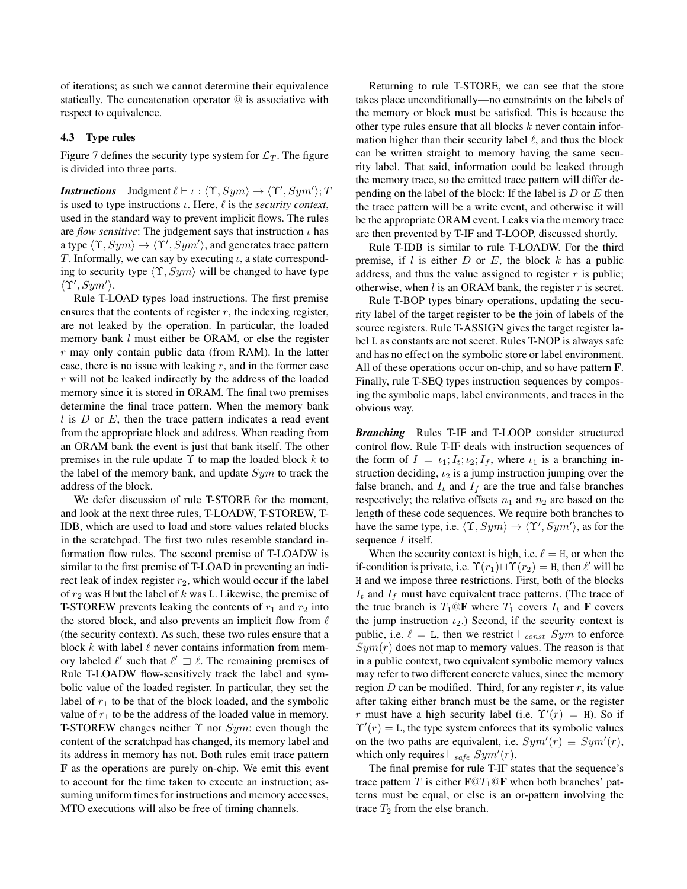of iterations; as such we cannot determine their equivalence statically. The concatenation operator @ is associative with respect to equivalence.

## 4.3 Type rules

Figure 7 defines the security type system for  $\mathcal{L}_T$ . The figure is divided into three parts.

*Instructions* Judgment  $\ell \vdash \iota : \langle \Upsilon, Sym \rangle \to \langle \Upsilon', Sym' \rangle; T$ is used to type instructions  $\iota$ . Here,  $\ell$  is the *security context*, used in the standard way to prevent implicit flows. The rules are *flow sensitive*: The judgement says that instruction  $\iota$  has a type  $\langle \Upsilon, Sym \rangle \rightarrow \langle \Upsilon', Sym' \rangle$ , and generates trace pattern T. Informally, we can say by executing  $\iota$ , a state corresponding to security type  $\langle \Upsilon, Sym \rangle$  will be changed to have type  $\langle \Upsilon', Sym' \rangle$ .

Rule T-LOAD types load instructions. The first premise ensures that the contents of register  $r$ , the indexing register, are not leaked by the operation. In particular, the loaded memory bank l must either be ORAM, or else the register  $r$  may only contain public data (from RAM). In the latter case, there is no issue with leaking  $r$ , and in the former case r will not be leaked indirectly by the address of the loaded memory since it is stored in ORAM. The final two premises determine the final trace pattern. When the memory bank  $l$  is  $D$  or  $E$ , then the trace pattern indicates a read event from the appropriate block and address. When reading from an ORAM bank the event is just that bank itself. The other premises in the rule update  $\Upsilon$  to map the loaded block k to the label of the memory bank, and update  $Sym$  to track the address of the block.

We defer discussion of rule T-STORE for the moment, and look at the next three rules, T-LOADW, T-STOREW, T-IDB, which are used to load and store values related blocks in the scratchpad. The first two rules resemble standard information flow rules. The second premise of T-LOADW is similar to the first premise of T-LOAD in preventing an indirect leak of index register  $r_2$ , which would occur if the label of  $r_2$  was H but the label of k was L. Likewise, the premise of T-STOREW prevents leaking the contents of  $r_1$  and  $r_2$  into the stored block, and also prevents an implicit flow from  $\ell$ (the security context). As such, these two rules ensure that a block  $k$  with label  $\ell$  never contains information from memory labeled  $\ell'$  such that  $\ell' \rightrightarrows \ell$ . The remaining premises of Rule T-LOADW flow-sensitively track the label and symbolic value of the loaded register. In particular, they set the label of  $r_1$  to be that of the block loaded, and the symbolic value of  $r_1$  to be the address of the loaded value in memory. T-STOREW changes neither  $\Upsilon$  nor  $Sym$ : even though the content of the scratchpad has changed, its memory label and its address in memory has not. Both rules emit trace pattern F as the operations are purely on-chip. We emit this event to account for the time taken to execute an instruction; assuming uniform times for instructions and memory accesses, MTO executions will also be free of timing channels.

Returning to rule T-STORE, we can see that the store takes place unconditionally—no constraints on the labels of the memory or block must be satisfied. This is because the other type rules ensure that all blocks  $k$  never contain information higher than their security label  $\ell$ , and thus the block can be written straight to memory having the same security label. That said, information could be leaked through the memory trace, so the emitted trace pattern will differ depending on the label of the block: If the label is  $D$  or  $E$  then the trace pattern will be a write event, and otherwise it will be the appropriate ORAM event. Leaks via the memory trace are then prevented by T-IF and T-LOOP, discussed shortly.

Rule T-IDB is similar to rule T-LOADW. For the third premise, if  $l$  is either  $D$  or  $E$ , the block  $k$  has a public address, and thus the value assigned to register  $r$  is public; otherwise, when  $l$  is an ORAM bank, the register  $r$  is secret.

Rule T-BOP types binary operations, updating the security label of the target register to be the join of labels of the source registers. Rule T-ASSIGN gives the target register label L as constants are not secret. Rules T-NOP is always safe and has no effect on the symbolic store or label environment. All of these operations occur on-chip, and so have pattern F. Finally, rule T-SEQ types instruction sequences by composing the symbolic maps, label environments, and traces in the obvious way.

*Branching* Rules T-IF and T-LOOP consider structured control flow. Rule T-IF deals with instruction sequences of the form of  $I = \iota_1; I_t; \iota_2; I_f$ , where  $\iota_1$  is a branching instruction deciding,  $\iota_2$  is a jump instruction jumping over the false branch, and  $I_t$  and  $I_f$  are the true and false branches respectively; the relative offsets  $n_1$  and  $n_2$  are based on the length of these code sequences. We require both branches to have the same type, i.e.  $\langle \Upsilon, Sym \rangle \to \langle \Upsilon', Sym' \rangle$ , as for the sequence *I* itself.

When the security context is high, i.e.  $\ell = H$ , or when the if-condition is private, i.e.  $\Upsilon(r_1) \sqcup \Upsilon(r_2) = H$ , then  $\ell'$  will be H and we impose three restrictions. First, both of the blocks  $I_t$  and  $I_f$  must have equivalent trace patterns. (The trace of the true branch is  $T_1@F$  where  $T_1$  covers  $I_t$  and F covers the jump instruction  $\iota_2$ .) Second, if the security context is public, i.e.  $\ell = L$ , then we restrict  $\vdash_{const}$  Sym to enforce  $Sym(r)$  does not map to memory values. The reason is that in a public context, two equivalent symbolic memory values may refer to two different concrete values, since the memory region  $D$  can be modified. Third, for any register  $r$ , its value after taking either branch must be the same, or the register r must have a high security label (i.e.  $\Upsilon'(r) = H$ ). So if  $\Upsilon'(r) = L$ , the type system enforces that its symbolic values on the two paths are equivalent, i.e.  $Sym'(r) \equiv Sym'(r)$ , which only requires  $\vdash_{\text{safe}} Sym'(r)$ .

The final premise for rule T-IF states that the sequence's trace pattern T is either  $\mathbf{F} \odot T_1 \odot \mathbf{F}$  when both branches' patterns must be equal, or else is an or-pattern involving the trace  $T_2$  from the else branch.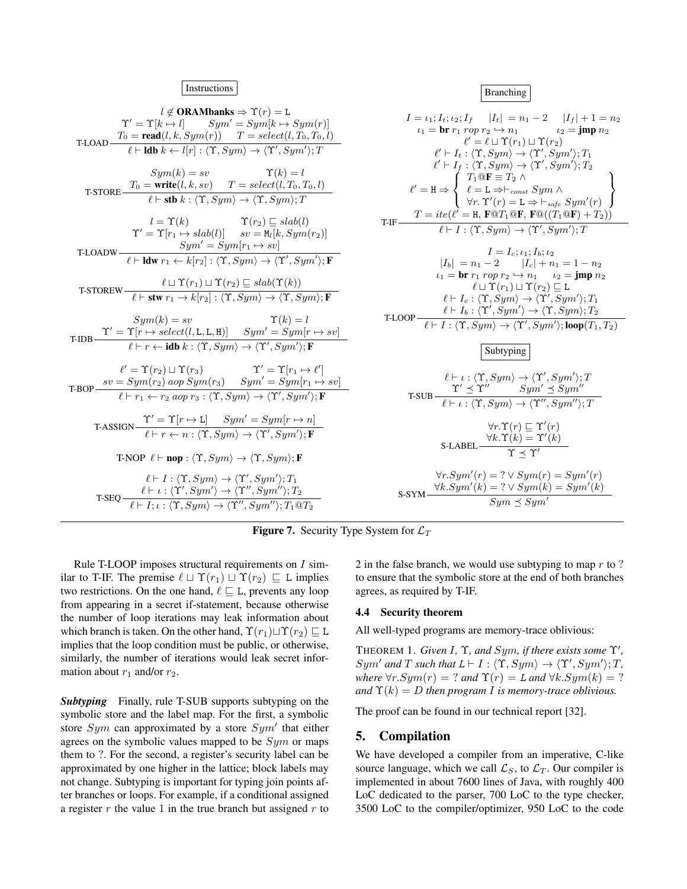## Instructions

| $l \notin$ ORAMbanks $\Rightarrow$ $\Upsilon(r) = L$<br>$\Upsilon' = \Upsilon[k \mapsto l]$ $Sym' = Sym[k \mapsto Sym(r)]$<br>$T_0 = \text{read}(l, k, Sym(r))$ $T = select(l, T_0, T_0, l)$<br>T-LOAD-<br>$l \vdash \mathbf{Idb} \; k \leftarrow l[r] : \langle \Upsilon, Sym \rangle \rightarrow \langle \Upsilon', Sym' \rangle; T$                         | $I=\iota_1$<br>$\iota_1 =$ |
|----------------------------------------------------------------------------------------------------------------------------------------------------------------------------------------------------------------------------------------------------------------------------------------------------------------------------------------------------------------|----------------------------|
| $Sym(k) = sv$ $\Upsilon(k) = l$<br>$T_0 = \text{write}(i, k, sv)$ $T = select(i, T_0, T_0, l)$<br>$\ell \vdash \textbf{stb } k : \langle \Upsilon, Sym \rangle \rightarrow \langle \Upsilon, Sym \rangle; T$<br>T-STORE-                                                                                                                                       | $\ell' = F$                |
| $l = \Upsilon(k)$ $\Upsilon(r_2) \sqsubseteq slab(l)$<br>$\Upsilon' = \Upsilon[r_1 \mapsto slab(l)]$ $sv = M_l[k, Sym(r_2)]$<br>$Sym' = Sym[r_1 \mapsto sv]$<br>$Sym' = Sym[r_1 \mapsto sv]$<br>$\ell \vdash \textbf{ldw } r_1 \leftarrow k[r_2] : \langle \Upsilon, Sym \rangle \rightarrow \langle \Upsilon', Sym' \rangle; \mathbf{F}$<br>T-LOADW-          | $T-IF-$                    |
| $\ell \sqcup \Upsilon(r_1) \sqcup \Upsilon(r_2) \sqsubseteq slab(\Upsilon(k))$<br>$\ell \vdash \mathbf{stw} \ r_1 \rightarrow k[r_2] : \langle \Upsilon, Sym \rangle \rightarrow \langle \Upsilon, Sym \rangle; \mathbf{F}$<br>T-STOREW-                                                                                                                       |                            |
| $\mathit{Sym}(k) = sv \qquad \quad \Upsilon(k) = l$<br>$\mathit{T-1D} \mathit{T} = \Upsilon[r \mapsto select(l, \mathtt{L}, \mathtt{L}, \mathtt{H})] \qquad \mathit{Sym}' = \mathit{Sym}[r \mapsto sv] \\ \ell \vdash r \leftarrow \mathit{idb} \ k : \langle \Upsilon, \mathit{Sym} \rangle \rightarrow \langle \Upsilon', \mathit{Sym}' \rangle; \mathbf{F}$ | T-LOOP-                    |
| $\label{eq:2} \begin{array}{ll} \ell' = \Upsilon(r_2) \sqcup \Upsilon(r_3) & \Upsilon' = \Upsilon[r_1 \mapsto \ell'] \\ sv = Sym(r_2) \; aop \; Sym(r_3) & Sym' = Sym[r_1 \mapsto sv] \\ \ell \vdash r_1 \leftarrow r_2 \; aop \; r_3 : \langle \Upsilon, Sym \rangle \rightarrow \langle \Upsilon', Sym' \rangle; \mathbf{F} \end{array}$<br>$T-BOP-$         | T-SUB                      |
| T-ASSIGN $\frac{\Upsilon' = \Upsilon[r \mapsto \mathbf{L}]}{\ell \vdash r \leftarrow n : \langle \Upsilon, Sym \rangle \rightarrow \langle \Upsilon', Sym' \rangle; \mathbf{F}}$                                                                                                                                                                               |                            |
| T-NOP $\ell \vdash \textbf{nop}: \langle \Upsilon, Sym \rangle \rightarrow \langle \Upsilon, Sym \rangle; \mathbf{F}$                                                                                                                                                                                                                                          |                            |
| $\ell \vdash I : \langle \Upsilon, Sym \rangle \rightarrow \langle \Upsilon', Sym' \rangle; T_1$<br>$\frac{\ell \vdash \iota : \langle \Upsilon', Sym' \rangle \rightarrow \langle \Upsilon'', Sym'' \rangle; T_2}{\ell \vdash I; \iota : \langle \Upsilon, Sym \rangle \rightarrow \langle \Upsilon'', Sym'' \rangle; T_1 @ T_2}$<br>$T-SEQ -$                | $S-SYM-$                   |

$$
I = \iota_1; I_t; \iota_2; I_f |I_t| = n_1 - 2 |I_f| + 1 = n_2
$$
\n
$$
\iota_1 = \mathbf{br} \ r_1 \ rop_2 r_2 \hookrightarrow n_1 \qquad \iota_2 = \mathbf{jmp} \ n_2
$$
\n
$$
\ell' = \ell \sqcup \Upsilon(r_1) \sqcup \Upsilon(r_2)
$$
\n
$$
\ell' \vdash I_t : \langle \Upsilon, Sym \rangle \rightarrow \langle \Upsilon', Sym' \rangle; T_1
$$
\n
$$
\ell' \vdash I_f : \langle \Upsilon, Sym \rangle \rightarrow \langle \Upsilon', Sym' \rangle; T_2
$$
\n
$$
\ell' = \mathbf{H} \Rightarrow \begin{cases} T_1 \oplus \mathbf{F} = T_2 \land \\ \ell = \mathbf{L} \Rightarrow \vdash_{const} Sym \land \\ \forall r. \Upsilon'(r) = \mathbf{L} \Rightarrow \vdash_{safe} Sym'(r) \\ \forall r. \Upsilon'(r) = \mathbf{L} \Rightarrow \vdash_{safe} Sym'(r) \end{cases}
$$
\n
$$
\mathbf{T} \cdot \mathbf{IF} \qquad \mathbf{I} = \mathbf{ite}(\ell' = \mathbf{H}, \mathbf{F} \mathbf{Q} T_1 \mathbf{Q} \mathbf{F}, \mathbf{F} \mathbf{Q}((T_1 \mathbf{Q} \mathbf{F}) + T_2))
$$
\n
$$
\mathbf{T} \cdot \mathbf{IF} \qquad \mathbf{I} = I_c; \iota_1; I_b; \iota_2
$$
\n
$$
|I_b| = n_1 - 2 \qquad |I_c| + n_1 = 1 - n_2
$$
\n
$$
\iota_1 = \mathbf{br} \ r_1 \ rop_2 \hookrightarrow n_1 \ r_2 = \mathbf{jmp} \ n_2
$$
\n
$$
\iota_1 = \mathbf{br} \ r_1 \ rop_1 \gamma \circ \mathbf{r} \quad \mathbf{a} \ r_2 = \mathbf{jmp} \ n_2
$$
\n
$$
\mathbf{r} \cdot \mathbf{L} \cdot \mathbf{Q} \cdot \mathbf{C} \quad \mathbf{A} \cdot \mathbf{S} \cdot \mathbf{gm} \quad \mathbf{A} \cdot \mathbf{S} \cdot \mathbf{B} \quad \mathbf{A} \cdot \mathbf{
$$

Branching

Figure 7. Security Type System for  $\mathcal{L}_T$ 

Rule T-LOOP imposes structural requirements on I similar to T-IF. The premise  $\ell \sqcup \Upsilon(r_1) \sqcup \Upsilon(r_2) \sqsubseteq L$  implies two restrictions. On the one hand,  $\ell \sqsubseteq L$ , prevents any loop from appearing in a secret if-statement, because otherwise the number of loop iterations may leak information about which branch is taken. On the other hand,  $\Upsilon(r_1) \sqcup \Upsilon(r_2) \sqsubset L$ implies that the loop condition must be public, or otherwise, similarly, the number of iterations would leak secret information about  $r_1$  and/or  $r_2$ .

*Subtyping* Finally, rule T-SUB supports subtyping on the symbolic store and the label map. For the first, a symbolic store  $Sym$  can approximated by a store  $Sym'$  that either agrees on the symbolic values mapped to be  $Sym$  or maps them to ?. For the second, a register's security label can be approximated by one higher in the lattice; block labels may not change. Subtyping is important for typing join points after branches or loops. For example, if a conditional assigned a register  $r$  the value 1 in the true branch but assigned  $r$  to

2 in the false branch, we would use subtyping to map  $r$  to ? to ensure that the symbolic store at the end of both branches agrees, as required by T-IF.

#### 4.4 Security theorem

All well-typed programs are memory-trace oblivious:

THEOREM 1. *Given I*,  $\Upsilon$ *, and Sym, if there exists some*  $\Upsilon'$ *,*  $Sym'$  and  $T$  such that  $L \vdash I : \langle \Upsilon, Sym \rangle \rightarrow \langle \Upsilon', Sym' \rangle; T$ , *where*  $\forall r. Sym(r) = ?$  *and*  $\Upsilon(r) = L$  *and*  $\forall k. Sym(k) = ?$ *and*  $\Upsilon(k) = D$  *then program I is memory-trace oblivious.* 

The proof can be found in our technical report [32].

## 5. Compilation

We have developed a compiler from an imperative, C-like source language, which we call  $\mathcal{L}_S$ , to  $\mathcal{L}_T$ . Our compiler is implemented in about 7600 lines of Java, with roughly 400 LoC dedicated to the parser, 700 LoC to the type checker, 3500 LoC to the compiler/optimizer, 950 LoC to the code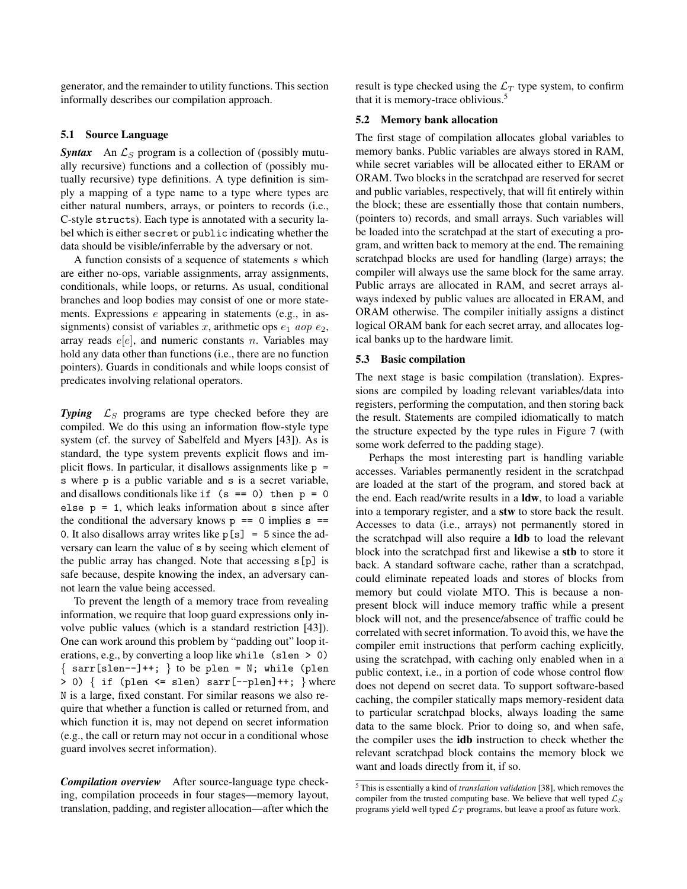generator, and the remainder to utility functions. This section informally describes our compilation approach.

## 5.1 Source Language

*Syntax* An  $\mathcal{L}_S$  program is a collection of (possibly mutually recursive) functions and a collection of (possibly mutually recursive) type definitions. A type definition is simply a mapping of a type name to a type where types are either natural numbers, arrays, or pointers to records (i.e., C-style structs). Each type is annotated with a security label which is either secret or public indicating whether the data should be visible/inferrable by the adversary or not.

A function consists of a sequence of statements s which are either no-ops, variable assignments, array assignments, conditionals, while loops, or returns. As usual, conditional branches and loop bodies may consist of one or more statements. Expressions e appearing in statements (e.g., in assignments) consist of variables x, arithmetic ops  $e_1$  aop  $e_2$ , array reads  $e[e]$ , and numeric constants n. Variables may hold any data other than functions (i.e., there are no function pointers). Guards in conditionals and while loops consist of predicates involving relational operators.

**Typing**  $\mathcal{L}_S$  programs are type checked before they are compiled. We do this using an information flow-style type system (cf. the survey of Sabelfeld and Myers [43]). As is standard, the type system prevents explicit flows and implicit flows. In particular, it disallows assignments like  $p =$ s where p is a public variable and s is a secret variable, and disallows conditionals like if  $(s == 0)$  then  $p = 0$ else  $p = 1$ , which leaks information about s since after the conditional the adversary knows  $p = 0$  implies  $s = 1$ 0. It also disallows array writes like  $p[s] = 5$  since the adversary can learn the value of s by seeing which element of the public array has changed. Note that accessing s[p] is safe because, despite knowing the index, an adversary cannot learn the value being accessed.

To prevent the length of a memory trace from revealing information, we require that loop guard expressions only involve public values (which is a standard restriction [43]). One can work around this problem by "padding out" loop iterations, e.g., by converting a loop like while (slen > 0)  $\{ \text{sarr}[\text{slen--}]+\text{; } \}$  to be plen = N; while (plen > 0)  $\{$  if (plen <= slen) sarr[--plen]++;  $\}$  where N is a large, fixed constant. For similar reasons we also require that whether a function is called or returned from, and which function it is, may not depend on secret information (e.g., the call or return may not occur in a conditional whose guard involves secret information).

*Compilation overview* After source-language type checking, compilation proceeds in four stages—memory layout, translation, padding, and register allocation—after which the result is type checked using the  $\mathcal{L}_T$  type system, to confirm that it is memory-trace oblivious.<sup>5</sup>

### 5.2 Memory bank allocation

The first stage of compilation allocates global variables to memory banks. Public variables are always stored in RAM, while secret variables will be allocated either to ERAM or ORAM. Two blocks in the scratchpad are reserved for secret and public variables, respectively, that will fit entirely within the block; these are essentially those that contain numbers, (pointers to) records, and small arrays. Such variables will be loaded into the scratchpad at the start of executing a program, and written back to memory at the end. The remaining scratchpad blocks are used for handling (large) arrays; the compiler will always use the same block for the same array. Public arrays are allocated in RAM, and secret arrays always indexed by public values are allocated in ERAM, and ORAM otherwise. The compiler initially assigns a distinct logical ORAM bank for each secret array, and allocates logical banks up to the hardware limit.

#### 5.3 Basic compilation

The next stage is basic compilation (translation). Expressions are compiled by loading relevant variables/data into registers, performing the computation, and then storing back the result. Statements are compiled idiomatically to match the structure expected by the type rules in Figure 7 (with some work deferred to the padding stage).

Perhaps the most interesting part is handling variable accesses. Variables permanently resident in the scratchpad are loaded at the start of the program, and stored back at the end. Each read/write results in a ldw, to load a variable into a temporary register, and a stw to store back the result. Accesses to data (i.e., arrays) not permanently stored in the scratchpad will also require a ldb to load the relevant block into the scratchpad first and likewise a stb to store it back. A standard software cache, rather than a scratchpad, could eliminate repeated loads and stores of blocks from memory but could violate MTO. This is because a nonpresent block will induce memory traffic while a present block will not, and the presence/absence of traffic could be correlated with secret information. To avoid this, we have the compiler emit instructions that perform caching explicitly, using the scratchpad, with caching only enabled when in a public context, i.e., in a portion of code whose control flow does not depend on secret data. To support software-based caching, the compiler statically maps memory-resident data to particular scratchpad blocks, always loading the same data to the same block. Prior to doing so, and when safe, the compiler uses the idb instruction to check whether the relevant scratchpad block contains the memory block we want and loads directly from it, if so.

<sup>5</sup> This is essentially a kind of *translation validation* [38], which removes the compiler from the trusted computing base. We believe that well typed  $\mathcal{L}_S$ programs yield well typed  $\mathcal{L}_T$  programs, but leave a proof as future work.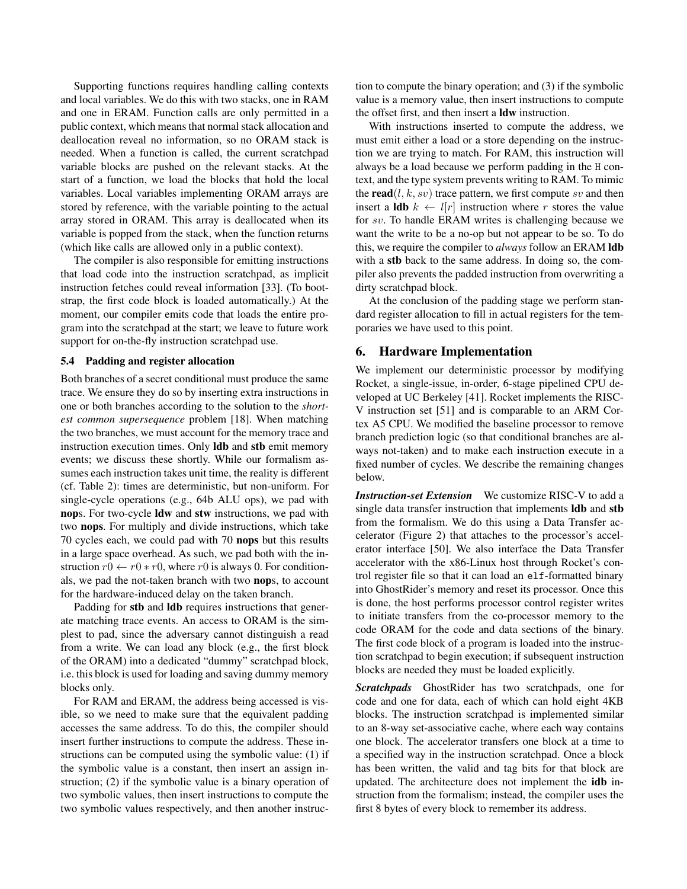Supporting functions requires handling calling contexts and local variables. We do this with two stacks, one in RAM and one in ERAM. Function calls are only permitted in a public context, which means that normal stack allocation and deallocation reveal no information, so no ORAM stack is needed. When a function is called, the current scratchpad variable blocks are pushed on the relevant stacks. At the start of a function, we load the blocks that hold the local variables. Local variables implementing ORAM arrays are stored by reference, with the variable pointing to the actual array stored in ORAM. This array is deallocated when its variable is popped from the stack, when the function returns (which like calls are allowed only in a public context).

The compiler is also responsible for emitting instructions that load code into the instruction scratchpad, as implicit instruction fetches could reveal information [33]. (To bootstrap, the first code block is loaded automatically.) At the moment, our compiler emits code that loads the entire program into the scratchpad at the start; we leave to future work support for on-the-fly instruction scratchpad use.

#### 5.4 Padding and register allocation

Both branches of a secret conditional must produce the same trace. We ensure they do so by inserting extra instructions in one or both branches according to the solution to the *shortest common supersequence* problem [18]. When matching the two branches, we must account for the memory trace and instruction execution times. Only ldb and stb emit memory events; we discuss these shortly. While our formalism assumes each instruction takes unit time, the reality is different (cf. Table 2): times are deterministic, but non-uniform. For single-cycle operations (e.g., 64b ALU ops), we pad with nops. For two-cycle ldw and stw instructions, we pad with two nops. For multiply and divide instructions, which take 70 cycles each, we could pad with 70 nops but this results in a large space overhead. As such, we pad both with the instruction  $r0 \leftarrow r0 * r0$ , where r0 is always 0. For conditionals, we pad the not-taken branch with two nops, to account for the hardware-induced delay on the taken branch.

Padding for stb and ldb requires instructions that generate matching trace events. An access to ORAM is the simplest to pad, since the adversary cannot distinguish a read from a write. We can load any block (e.g., the first block of the ORAM) into a dedicated "dummy" scratchpad block, i.e. this block is used for loading and saving dummy memory blocks only.

For RAM and ERAM, the address being accessed is visible, so we need to make sure that the equivalent padding accesses the same address. To do this, the compiler should insert further instructions to compute the address. These instructions can be computed using the symbolic value: (1) if the symbolic value is a constant, then insert an assign instruction; (2) if the symbolic value is a binary operation of two symbolic values, then insert instructions to compute the two symbolic values respectively, and then another instruction to compute the binary operation; and (3) if the symbolic value is a memory value, then insert instructions to compute the offset first, and then insert a ldw instruction.

With instructions inserted to compute the address, we must emit either a load or a store depending on the instruction we are trying to match. For RAM, this instruction will always be a load because we perform padding in the H context, and the type system prevents writing to RAM. To mimic the **read**(*l*, *k*, *sv*) trace pattern, we first compute sv and then insert a **ldb**  $k \leftarrow l[r]$  instruction where r stores the value for sv. To handle ERAM writes is challenging because we want the write to be a no-op but not appear to be so. To do this, we require the compiler to *always* follow an ERAM ldb with a stb back to the same address. In doing so, the compiler also prevents the padded instruction from overwriting a dirty scratchpad block.

At the conclusion of the padding stage we perform standard register allocation to fill in actual registers for the temporaries we have used to this point.

## 6. Hardware Implementation

We implement our deterministic processor by modifying Rocket, a single-issue, in-order, 6-stage pipelined CPU developed at UC Berkeley [41]. Rocket implements the RISC-V instruction set [51] and is comparable to an ARM Cortex A5 CPU. We modified the baseline processor to remove branch prediction logic (so that conditional branches are always not-taken) and to make each instruction execute in a fixed number of cycles. We describe the remaining changes below.

*Instruction-set Extension* We customize RISC-V to add a single data transfer instruction that implements ldb and stb from the formalism. We do this using a Data Transfer accelerator (Figure 2) that attaches to the processor's accelerator interface [50]. We also interface the Data Transfer accelerator with the x86-Linux host through Rocket's control register file so that it can load an elf-formatted binary into GhostRider's memory and reset its processor. Once this is done, the host performs processor control register writes to initiate transfers from the co-processor memory to the code ORAM for the code and data sections of the binary. The first code block of a program is loaded into the instruction scratchpad to begin execution; if subsequent instruction blocks are needed they must be loaded explicitly.

*Scratchpads* GhostRider has two scratchpads, one for code and one for data, each of which can hold eight 4KB blocks. The instruction scratchpad is implemented similar to an 8-way set-associative cache, where each way contains one block. The accelerator transfers one block at a time to a specified way in the instruction scratchpad. Once a block has been written, the valid and tag bits for that block are updated. The architecture does not implement the idb instruction from the formalism; instead, the compiler uses the first 8 bytes of every block to remember its address.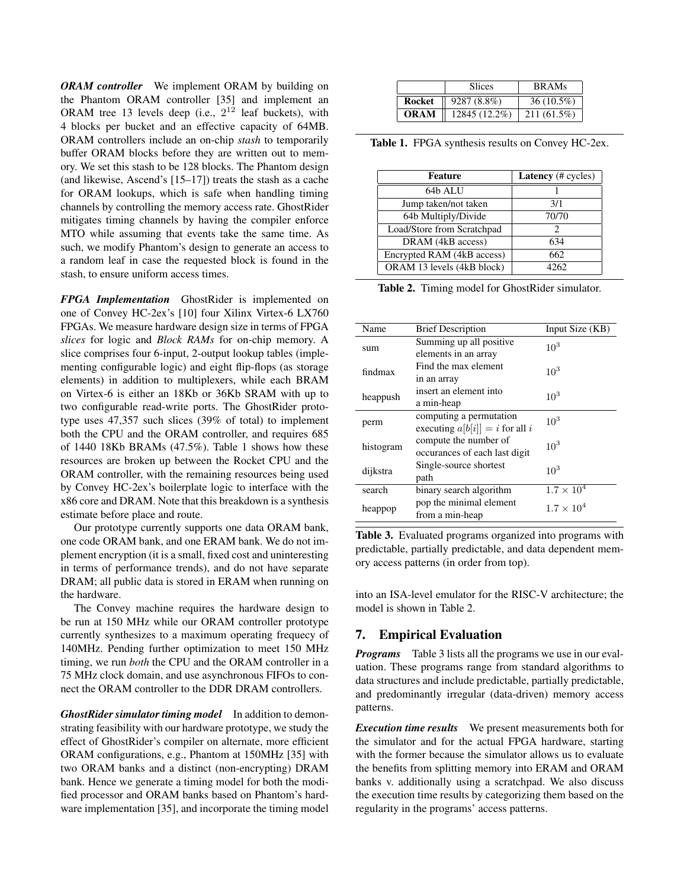*ORAM controller* We implement ORAM by building on the Phantom ORAM controller [35] and implement an ORAM tree 13 levels deep (i.e.,  $2^{12}$  leaf buckets), with 4 blocks per bucket and an effective capacity of 64MB. ORAM controllers include an on-chip *stash* to temporarily buffer ORAM blocks before they are written out to memory. We set this stash to be 128 blocks. The Phantom design (and likewise, Ascend's [15–17]) treats the stash as a cache for ORAM lookups, which is safe when handling timing channels by controlling the memory access rate. GhostRider mitigates timing channels by having the compiler enforce MTO while assuming that events take the same time. As such, we modify Phantom's design to generate an access to a random leaf in case the requested block is found in the stash, to ensure uniform access times.

*FPGA Implementation* GhostRider is implemented on one of Convey HC-2ex's [10] four Xilinx Virtex-6 LX760 FPGAs. We measure hardware design size in terms of FPGA *slices* for logic and *Block RAMs* for on-chip memory. A slice comprises four 6-input, 2-output lookup tables (implementing configurable logic) and eight flip-flops (as storage elements) in addition to multiplexers, while each BRAM on Virtex-6 is either an 18Kb or 36Kb SRAM with up to two configurable read-write ports. The GhostRider prototype uses 47,357 such slices (39% of total) to implement both the CPU and the ORAM controller, and requires 685 of 1440 18Kb BRAMs (47.5%). Table 1 shows how these resources are broken up between the Rocket CPU and the ORAM controller, with the remaining resources being used by Convey HC-2ex's boilerplate logic to interface with the x86 core and DRAM. Note that this breakdown is a synthesis estimate before place and route.

Our prototype currently supports one data ORAM bank, one code ORAM bank, and one ERAM bank. We do not implement encryption (it is a small, fixed cost and uninteresting in terms of performance trends), and do not have separate DRAM; all public data is stored in ERAM when running on the hardware.

The Convey machine requires the hardware design to be run at 150 MHz while our ORAM controller prototype currently synthesizes to a maximum operating frequecy of 140MHz. Pending further optimization to meet 150 MHz timing, we run *both* the CPU and the ORAM controller in a 75 MHz clock domain, and use asynchronous FIFOs to connect the ORAM controller to the DDR DRAM controllers.

*GhostRider simulator timing model* In addition to demonstrating feasibility with our hardware prototype, we study the effect of GhostRider's compiler on alternate, more efficient ORAM configurations, e.g., Phantom at 150MHz [35] with two ORAM banks and a distinct (non-encrypting) DRAM bank. Hence we generate a timing model for both the modified processor and ORAM banks based on Phantom's hardware implementation [35], and incorporate the timing model

|               | <b>Slices</b> | <b>BRAMs</b>  |
|---------------|---------------|---------------|
| <b>Rocket</b> | 9287 (8.8%)   | $36(10.5\%)$  |
| <b>ORAM</b>   | 12845 (12.2%) | $211(61.5\%)$ |

Table 1. FPGA synthesis results on Convey HC-2ex.

| Feature                    | <b>Latency</b> (# cycles) |
|----------------------------|---------------------------|
| 64b ALU                    |                           |
| Jump taken/not taken       | 3/1                       |
| 64b Multiply/Divide        | 70/70                     |
| Load/Store from Scratchpad |                           |
| DRAM (4kB access)          | 634                       |
| Encrypted RAM (4kB access) | 662                       |
| ORAM 13 levels (4kB block) | 4262                      |

Table 2. Timing model for GhostRider simulator.

| Name      | <b>Brief Description</b>          | Input Size (KB)     |  |
|-----------|-----------------------------------|---------------------|--|
| sum       | Summing up all positive           | $10^3$              |  |
|           | elements in an array              |                     |  |
| findmax   | Find the max element              | $10^3$              |  |
|           | in an array                       |                     |  |
| heappush  | insert an element into            | $10^3$              |  |
|           | a min-heap                        |                     |  |
| perm      | computing a permutation           | $10^{3}$            |  |
|           | executing $a[b[i]] = i$ for all i |                     |  |
| histogram | compute the number of             | $10^3$              |  |
|           | occurances of each last digit     |                     |  |
| dijkstra  | Single-source shortest            | $10^3$              |  |
|           | path                              |                     |  |
| search    | binary search algorithm           | $1.7 \times 10^{4}$ |  |
| heappop   | pop the minimal element           | $1.7 \times 10^{4}$ |  |
|           | from a min-heap                   |                     |  |

Table 3. Evaluated programs organized into programs with predictable, partially predictable, and data dependent memory access patterns (in order from top).

into an ISA-level emulator for the RISC-V architecture; the model is shown in Table 2.

# 7. Empirical Evaluation

*Programs* Table 3 lists all the programs we use in our evaluation. These programs range from standard algorithms to data structures and include predictable, partially predictable, and predominantly irregular (data-driven) memory access patterns.

*Execution time results* We present measurements both for the simulator and for the actual FPGA hardware, starting with the former because the simulator allows us to evaluate the benefits from splitting memory into ERAM and ORAM banks v. additionally using a scratchpad. We also discuss the execution time results by categorizing them based on the regularity in the programs' access patterns.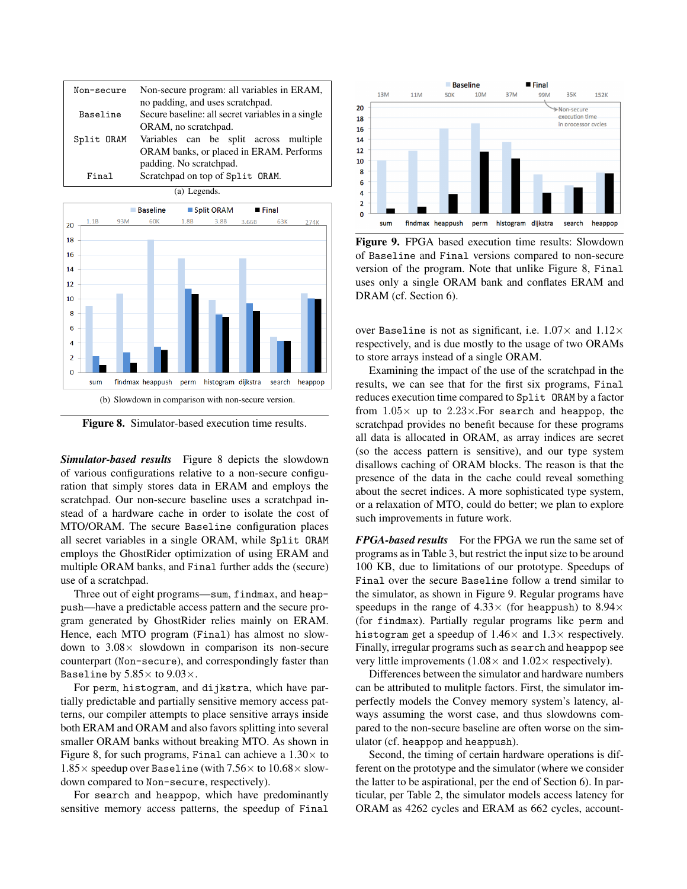



Figure 8. Simulator-based execution time results.

*Simulator-based results* Figure 8 depicts the slowdown of various configurations relative to a non-secure configuration that simply stores data in ERAM and employs the scratchpad. Our non-secure baseline uses a scratchpad instead of a hardware cache in order to isolate the cost of MTO/ORAM. The secure Baseline configuration places all secret variables in a single ORAM, while Split ORAM employs the GhostRider optimization of using ERAM and multiple ORAM banks, and Final further adds the (secure) use of a scratchpad.

Three out of eight programs—sum, findmax, and heappush—have a predictable access pattern and the secure program generated by GhostRider relies mainly on ERAM. Hence, each MTO program (Final) has almost no slowdown to  $3.08 \times$  slowdown in comparison its non-secure counterpart (Non-secure), and correspondingly faster than Baseline by  $5.85\times$  to  $9.03\times$ .

For perm, histogram, and dijkstra, which have partially predictable and partially sensitive memory access patterns, our compiler attempts to place sensitive arrays inside both ERAM and ORAM and also favors splitting into several smaller ORAM banks without breaking MTO. As shown in Figure 8, for such programs, Final can achieve a  $1.30\times$  to  $1.85\times$  speedup over Baseline (with  $7.56\times$  to  $10.68\times$  slowdown compared to Non-secure, respectively).

For search and heappop, which have predominantly sensitive memory access patterns, the speedup of Final



Figure 9. FPGA based execution time results: Slowdown of Baseline and Final versions compared to non-secure version of the program. Note that unlike Figure 8, Final uses only a single ORAM bank and conflates ERAM and DRAM (cf. Section 6).

over Baseline is not as significant, i.e.  $1.07\times$  and  $1.12\times$ respectively, and is due mostly to the usage of two ORAMs to store arrays instead of a single ORAM.

Examining the impact of the use of the scratchpad in the results, we can see that for the first six programs, Final reduces execution time compared to Split ORAM by a factor from  $1.05\times$  up to  $2.23\times$ . For search and heappop, the scratchpad provides no benefit because for these programs all data is allocated in ORAM, as array indices are secret (so the access pattern is sensitive), and our type system disallows caching of ORAM blocks. The reason is that the presence of the data in the cache could reveal something about the secret indices. A more sophisticated type system, or a relaxation of MTO, could do better; we plan to explore such improvements in future work.

*FPGA-based results* For the FPGA we run the same set of programs as in Table 3, but restrict the input size to be around 100 KB, due to limitations of our prototype. Speedups of Final over the secure Baseline follow a trend similar to the simulator, as shown in Figure 9. Regular programs have speedups in the range of  $4.33\times$  (for heappush) to  $8.94\times$ (for findmax). Partially regular programs like perm and histogram get a speedup of  $1.46\times$  and  $1.3\times$  respectively. Finally, irregular programs such as search and heappop see very little improvements  $(1.08 \times \text{ and } 1.02 \times \text{ respectively}).$ 

Differences between the simulator and hardware numbers can be attributed to mulitple factors. First, the simulator imperfectly models the Convey memory system's latency, always assuming the worst case, and thus slowdowns compared to the non-secure baseline are often worse on the simulator (cf. heappop and heappush).

Second, the timing of certain hardware operations is different on the prototype and the simulator (where we consider the latter to be aspirational, per the end of Section 6). In particular, per Table 2, the simulator models access latency for ORAM as 4262 cycles and ERAM as 662 cycles, account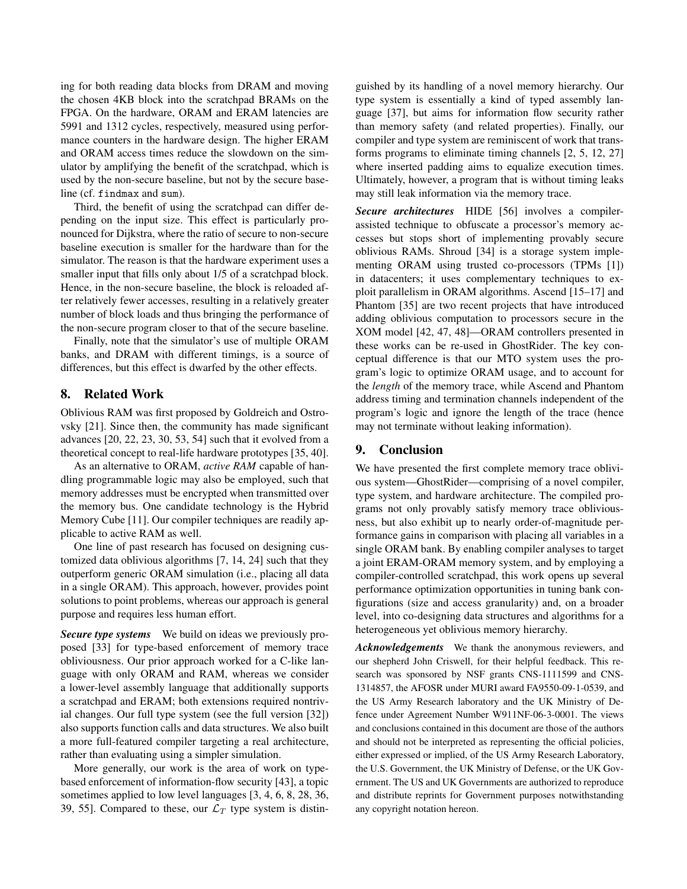ing for both reading data blocks from DRAM and moving the chosen 4KB block into the scratchpad BRAMs on the FPGA. On the hardware, ORAM and ERAM latencies are 5991 and 1312 cycles, respectively, measured using performance counters in the hardware design. The higher ERAM and ORAM access times reduce the slowdown on the simulator by amplifying the benefit of the scratchpad, which is used by the non-secure baseline, but not by the secure baseline (cf. findmax and sum).

Third, the benefit of using the scratchpad can differ depending on the input size. This effect is particularly pronounced for Dijkstra, where the ratio of secure to non-secure baseline execution is smaller for the hardware than for the simulator. The reason is that the hardware experiment uses a smaller input that fills only about  $1/5$  of a scratchpad block. Hence, in the non-secure baseline, the block is reloaded after relatively fewer accesses, resulting in a relatively greater number of block loads and thus bringing the performance of the non-secure program closer to that of the secure baseline.

Finally, note that the simulator's use of multiple ORAM banks, and DRAM with different timings, is a source of differences, but this effect is dwarfed by the other effects.

# 8. Related Work

Oblivious RAM was first proposed by Goldreich and Ostrovsky [21]. Since then, the community has made significant advances [20, 22, 23, 30, 53, 54] such that it evolved from a theoretical concept to real-life hardware prototypes [35, 40].

As an alternative to ORAM, *active RAM* capable of handling programmable logic may also be employed, such that memory addresses must be encrypted when transmitted over the memory bus. One candidate technology is the Hybrid Memory Cube [11]. Our compiler techniques are readily applicable to active RAM as well.

One line of past research has focused on designing customized data oblivious algorithms [7, 14, 24] such that they outperform generic ORAM simulation (i.e., placing all data in a single ORAM). This approach, however, provides point solutions to point problems, whereas our approach is general purpose and requires less human effort.

*Secure type systems* We build on ideas we previously proposed [33] for type-based enforcement of memory trace obliviousness. Our prior approach worked for a C-like language with only ORAM and RAM, whereas we consider a lower-level assembly language that additionally supports a scratchpad and ERAM; both extensions required nontrivial changes. Our full type system (see the full version [32]) also supports function calls and data structures. We also built a more full-featured compiler targeting a real architecture, rather than evaluating using a simpler simulation.

More generally, our work is the area of work on typebased enforcement of information-flow security [43], a topic sometimes applied to low level languages [3, 4, 6, 8, 28, 36, 39, 55]. Compared to these, our  $\mathcal{L}_T$  type system is distinguished by its handling of a novel memory hierarchy. Our type system is essentially a kind of typed assembly language [37], but aims for information flow security rather than memory safety (and related properties). Finally, our compiler and type system are reminiscent of work that transforms programs to eliminate timing channels [2, 5, 12, 27] where inserted padding aims to equalize execution times. Ultimately, however, a program that is without timing leaks may still leak information via the memory trace.

*Secure architectures* HIDE [56] involves a compilerassisted technique to obfuscate a processor's memory accesses but stops short of implementing provably secure oblivious RAMs. Shroud [34] is a storage system implementing ORAM using trusted co-processors (TPMs [1]) in datacenters; it uses complementary techniques to exploit parallelism in ORAM algorithms. Ascend [15–17] and Phantom [35] are two recent projects that have introduced adding oblivious computation to processors secure in the XOM model [42, 47, 48]—ORAM controllers presented in these works can be re-used in GhostRider. The key conceptual difference is that our MTO system uses the program's logic to optimize ORAM usage, and to account for the *length* of the memory trace, while Ascend and Phantom address timing and termination channels independent of the program's logic and ignore the length of the trace (hence may not terminate without leaking information).

# 9. Conclusion

We have presented the first complete memory trace oblivious system—GhostRider—comprising of a novel compiler, type system, and hardware architecture. The compiled programs not only provably satisfy memory trace obliviousness, but also exhibit up to nearly order-of-magnitude performance gains in comparison with placing all variables in a single ORAM bank. By enabling compiler analyses to target a joint ERAM-ORAM memory system, and by employing a compiler-controlled scratchpad, this work opens up several performance optimization opportunities in tuning bank configurations (size and access granularity) and, on a broader level, into co-designing data structures and algorithms for a heterogeneous yet oblivious memory hierarchy.

*Acknowledgements* We thank the anonymous reviewers, and our shepherd John Criswell, for their helpful feedback. This research was sponsored by NSF grants CNS-1111599 and CNS-1314857, the AFOSR under MURI award FA9550-09-1-0539, and the US Army Research laboratory and the UK Ministry of Defence under Agreement Number W911NF-06-3-0001. The views and conclusions contained in this document are those of the authors and should not be interpreted as representing the official policies, either expressed or implied, of the US Army Research Laboratory, the U.S. Government, the UK Ministry of Defense, or the UK Government. The US and UK Governments are authorized to reproduce and distribute reprints for Government purposes notwithstanding any copyright notation hereon.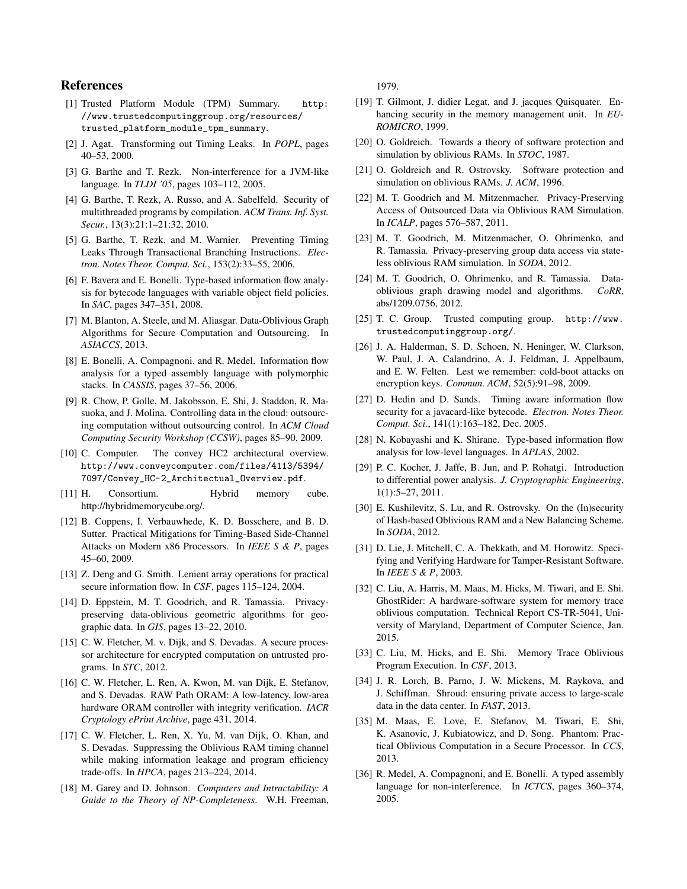# References

- [1] Trusted Platform Module (TPM) Summary. http: //www.trustedcomputinggroup.org/resources/ trusted\_platform\_module\_tpm\_summary.
- [2] J. Agat. Transforming out Timing Leaks. In *POPL*, pages 40–53, 2000.
- [3] G. Barthe and T. Rezk. Non-interference for a JVM-like language. In *TLDI '05*, pages 103–112, 2005.
- [4] G. Barthe, T. Rezk, A. Russo, and A. Sabelfeld. Security of multithreaded programs by compilation. *ACM Trans. Inf. Syst. Secur.*, 13(3):21:1–21:32, 2010.
- [5] G. Barthe, T. Rezk, and M. Warnier. Preventing Timing Leaks Through Transactional Branching Instructions. *Electron. Notes Theor. Comput. Sci.*, 153(2):33–55, 2006.
- [6] F. Bavera and E. Bonelli. Type-based information flow analysis for bytecode languages with variable object field policies. In *SAC*, pages 347–351, 2008.
- [7] M. Blanton, A. Steele, and M. Aliasgar. Data-Oblivious Graph Algorithms for Secure Computation and Outsourcing. In *ASIACCS*, 2013.
- [8] E. Bonelli, A. Compagnoni, and R. Medel. Information flow analysis for a typed assembly language with polymorphic stacks. In *CASSIS*, pages 37–56, 2006.
- [9] R. Chow, P. Golle, M. Jakobsson, E. Shi, J. Staddon, R. Masuoka, and J. Molina. Controlling data in the cloud: outsourcing computation without outsourcing control. In *ACM Cloud Computing Security Workshop (CCSW)*, pages 85–90, 2009.
- [10] C. Computer. The convey HC2 architectural overview. http://www.conveycomputer.com/files/4113/5394/ 7097/Convey\_HC-2\_Architectual\_Overview.pdf.
- [11] H. Consortium. Hybrid memory cube. http://hybridmemorycube.org/.
- [12] B. Coppens, I. Verbauwhede, K. D. Bosschere, and B. D. Sutter. Practical Mitigations for Timing-Based Side-Channel Attacks on Modern x86 Processors. In *IEEE S & P*, pages 45–60, 2009.
- [13] Z. Deng and G. Smith. Lenient array operations for practical secure information flow. In *CSF*, pages 115–124, 2004.
- [14] D. Eppstein, M. T. Goodrich, and R. Tamassia. Privacypreserving data-oblivious geometric algorithms for geographic data. In *GIS*, pages 13–22, 2010.
- [15] C. W. Fletcher, M. v. Dijk, and S. Devadas. A secure processor architecture for encrypted computation on untrusted programs. In *STC*, 2012.
- [16] C. W. Fletcher, L. Ren, A. Kwon, M. van Dijk, E. Stefanov, and S. Devadas. RAW Path ORAM: A low-latency, low-area hardware ORAM controller with integrity verification. *IACR Cryptology ePrint Archive*, page 431, 2014.
- [17] C. W. Fletcher, L. Ren, X. Yu, M. van Dijk, O. Khan, and S. Devadas. Suppressing the Oblivious RAM timing channel while making information leakage and program efficiency trade-offs. In *HPCA*, pages 213–224, 2014.
- [18] M. Garey and D. Johnson. *Computers and Intractability: A Guide to the Theory of NP-Completeness*. W.H. Freeman,

1979.

- [19] T. Gilmont, J. didier Legat, and J. jacques Quisquater. Enhancing security in the memory management unit. In *EU-ROMICRO*, 1999.
- [20] O. Goldreich. Towards a theory of software protection and simulation by oblivious RAMs. In *STOC*, 1987.
- [21] O. Goldreich and R. Ostrovsky. Software protection and simulation on oblivious RAMs. *J. ACM*, 1996.
- [22] M. T. Goodrich and M. Mitzenmacher. Privacy-Preserving Access of Outsourced Data via Oblivious RAM Simulation. In *ICALP*, pages 576–587, 2011.
- [23] M. T. Goodrich, M. Mitzenmacher, O. Ohrimenko, and R. Tamassia. Privacy-preserving group data access via stateless oblivious RAM simulation. In *SODA*, 2012.
- [24] M. T. Goodrich, O. Ohrimenko, and R. Tamassia. Dataoblivious graph drawing model and algorithms. *CoRR*, abs/1209.0756, 2012.
- [25] T. C. Group. Trusted computing group. http://www. trustedcomputinggroup.org/.
- [26] J. A. Halderman, S. D. Schoen, N. Heninger, W. Clarkson, W. Paul, J. A. Calandrino, A. J. Feldman, J. Appelbaum, and E. W. Felten. Lest we remember: cold-boot attacks on encryption keys. *Commun. ACM*, 52(5):91–98, 2009.
- [27] D. Hedin and D. Sands. Timing aware information flow security for a javacard-like bytecode. *Electron. Notes Theor. Comput. Sci.*, 141(1):163–182, Dec. 2005.
- [28] N. Kobayashi and K. Shirane. Type-based information flow analysis for low-level languages. In *APLAS*, 2002.
- [29] P. C. Kocher, J. Jaffe, B. Jun, and P. Rohatgi. Introduction to differential power analysis. *J. Cryptographic Engineering*, 1(1):5–27, 2011.
- [30] E. Kushilevitz, S. Lu, and R. Ostrovsky. On the (In)security of Hash-based Oblivious RAM and a New Balancing Scheme. In *SODA*, 2012.
- [31] D. Lie, J. Mitchell, C. A. Thekkath, and M. Horowitz. Specifying and Verifying Hardware for Tamper-Resistant Software. In *IEEE S & P*, 2003.
- [32] C. Liu, A. Harris, M. Maas, M. Hicks, M. Tiwari, and E. Shi. GhostRider: A hardware-software system for memory trace oblivious computation. Technical Report CS-TR-5041, University of Maryland, Department of Computer Science, Jan. 2015.
- [33] C. Liu, M. Hicks, and E. Shi. Memory Trace Oblivious Program Execution. In *CSF*, 2013.
- [34] J. R. Lorch, B. Parno, J. W. Mickens, M. Raykova, and J. Schiffman. Shroud: ensuring private access to large-scale data in the data center. In *FAST*, 2013.
- [35] M. Maas, E. Love, E. Stefanov, M. Tiwari, E. Shi, K. Asanovic, J. Kubiatowicz, and D. Song. Phantom: Practical Oblivious Computation in a Secure Processor. In *CCS*, 2013.
- [36] R. Medel, A. Compagnoni, and E. Bonelli. A typed assembly language for non-interference. In *ICTCS*, pages 360–374, 2005.